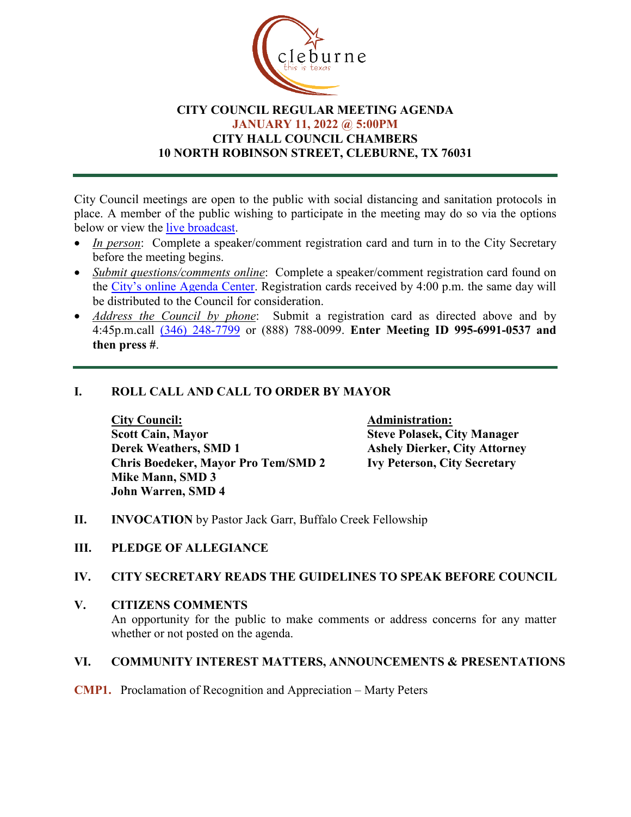

## **CITY COUNCIL REGULAR MEETING AGENDA JANUARY 11, 2022 @ 5:00PM CITY HALL COUNCIL CHAMBERS 10 NORTH ROBINSON STREET, CLEBURNE, TX 76031**

City Council meetings are open to the public with social distancing and sanitation protocols in place. A member of the public wishing to participate in the meeting may do so via the options below or view the [live broadcast.](http://www.cleburne.net/925/Cleburne-Live)

- In person: Complete a speaker/comment registration card and turn in to the City Secretary before the meeting begins.
- *Submit questions/comments online*: Complete a speaker/comment registration card found on the [City's online Agenda Center.](https://www.cleburne.net/agendacenter) Registration cards received by 4:00 p.m. the same day will be distributed to the Council for consideration.
- *Address the Council by phone*: Submit a registration card as directed above and by 4:45p.m.call [\(346\) 248-7799](tel:+13127573117,,477307821) or (888) 788-0099. **Enter Meeting ID 995-6991-0537 and then press #**.

# **I. ROLL CALL AND CALL TO ORDER BY MAYOR**

**City Council: Administration: Scott Cain, Mayor Steve Polasek, City Manager Chris Boedeker, Mayor Pro Tem/SMD 2 Ivy Peterson, City Secretary Mike Mann, SMD 3 John Warren, SMD 4**

**Ashely Dierker, City Attorney** 

- **II. INVOCATION** by Pastor Jack Garr, Buffalo Creek Fellowship
- **III. PLEDGE OF ALLEGIANCE**

## **IV. CITY SECRETARY READS THE GUIDELINES TO SPEAK BEFORE COUNCIL**

**V. CITIZENS COMMENTS** An opportunity for the public to make comments or address concerns for any matter whether or not posted on the agenda.

## **VI. COMMUNITY INTEREST MATTERS, ANNOUNCEMENTS & PRESENTATIONS**

**CMP1.** Proclamation of Recognition and Appreciation – Marty Peters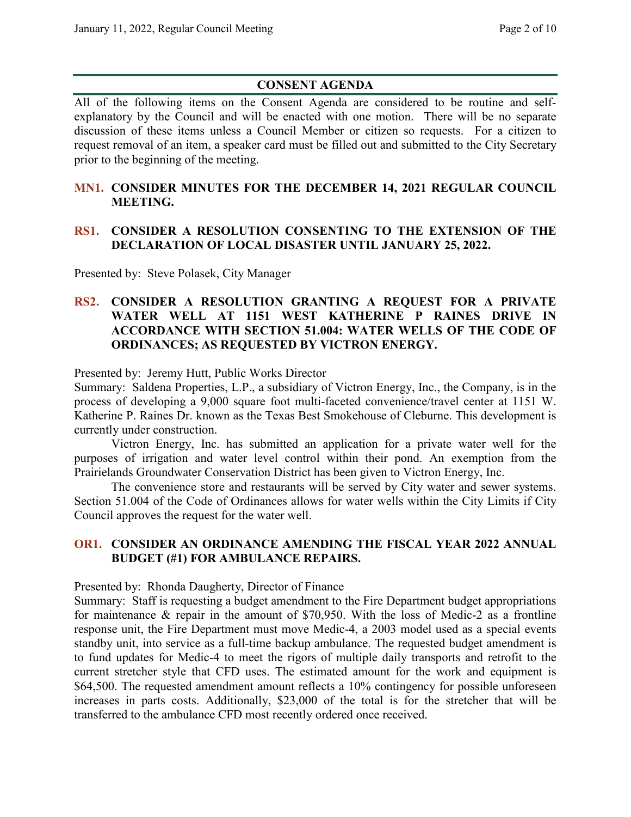# **CONSENT AGENDA**

All of the following items on the Consent Agenda are considered to be routine and selfexplanatory by the Council and will be enacted with one motion. There will be no separate discussion of these items unless a Council Member or citizen so requests. For a citizen to request removal of an item, a speaker card must be filled out and submitted to the City Secretary prior to the beginning of the meeting.

### **MN1. CONSIDER MINUTES FOR THE DECEMBER 14, 2021 REGULAR COUNCIL MEETING.**

## **RS1. CONSIDER A RESOLUTION CONSENTING TO THE EXTENSION OF THE DECLARATION OF LOCAL DISASTER UNTIL JANUARY 25, 2022.**

Presented by: Steve Polasek, City Manager

#### **RS2. CONSIDER A RESOLUTION GRANTING A REQUEST FOR A PRIVATE WATER WELL AT 1151 WEST KATHERINE P RAINES DRIVE IN ACCORDANCE WITH SECTION 51.004: WATER WELLS OF THE CODE OF ORDINANCES; AS REQUESTED BY VICTRON ENERGY.**

Presented by: Jeremy Hutt, Public Works Director

Summary: Saldena Properties, L.P., a subsidiary of Victron Energy, Inc., the Company, is in the process of developing a 9,000 square foot multi-faceted convenience/travel center at 1151 W. Katherine P. Raines Dr. known as the Texas Best Smokehouse of Cleburne. This development is currently under construction.

Victron Energy, Inc. has submitted an application for a private water well for the purposes of irrigation and water level control within their pond. An exemption from the Prairielands Groundwater Conservation District has been given to Victron Energy, Inc.

The convenience store and restaurants will be served by City water and sewer systems. Section 51.004 of the Code of Ordinances allows for water wells within the City Limits if City Council approves the request for the water well.

## **OR1. CONSIDER AN ORDINANCE AMENDING THE FISCAL YEAR 2022 ANNUAL BUDGET (#1) FOR AMBULANCE REPAIRS.**

Presented by: Rhonda Daugherty, Director of Finance

Summary: Staff is requesting a budget amendment to the Fire Department budget appropriations for maintenance & repair in the amount of \$70,950. With the loss of Medic-2 as a frontline response unit, the Fire Department must move Medic-4, a 2003 model used as a special events standby unit, into service as a full-time backup ambulance. The requested budget amendment is to fund updates for Medic-4 to meet the rigors of multiple daily transports and retrofit to the current stretcher style that CFD uses. The estimated amount for the work and equipment is \$64,500. The requested amendment amount reflects a 10% contingency for possible unforeseen increases in parts costs. Additionally, \$23,000 of the total is for the stretcher that will be transferred to the ambulance CFD most recently ordered once received.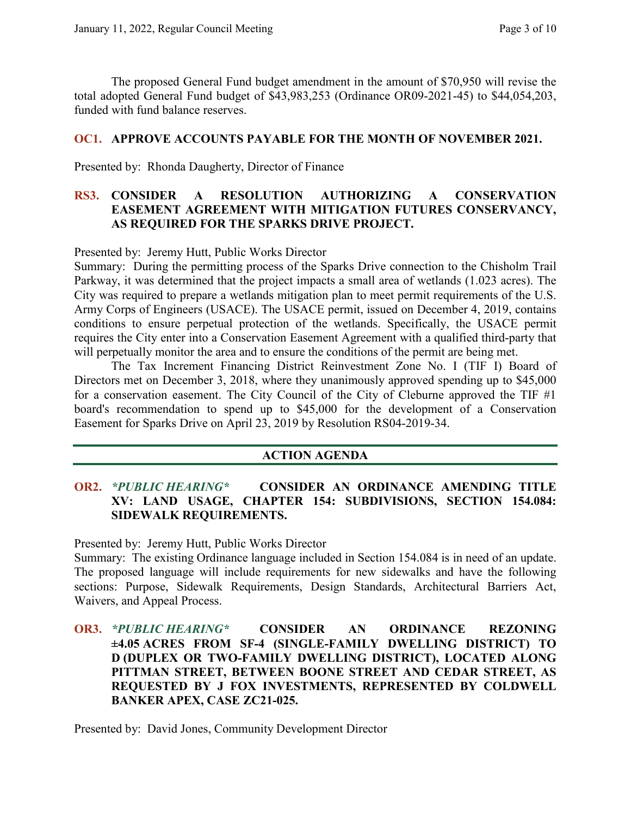The proposed General Fund budget amendment in the amount of \$70,950 will revise the total adopted General Fund budget of \$43,983,253 (Ordinance OR09-2021-45) to \$44,054,203, funded with fund balance reserves.

#### **OC1. APPROVE ACCOUNTS PAYABLE FOR THE MONTH OF NOVEMBER 2021.**

Presented by: Rhonda Daugherty, Director of Finance

## **RS3. CONSIDER A RESOLUTION AUTHORIZING A CONSERVATION EASEMENT AGREEMENT WITH MITIGATION FUTURES CONSERVANCY, AS REQUIRED FOR THE SPARKS DRIVE PROJECT.**

Presented by: Jeremy Hutt, Public Works Director

Summary: During the permitting process of the Sparks Drive connection to the Chisholm Trail Parkway, it was determined that the project impacts a small area of wetlands (1.023 acres). The City was required to prepare a wetlands mitigation plan to meet permit requirements of the U.S. Army Corps of Engineers (USACE). The USACE permit, issued on December 4, 2019, contains conditions to ensure perpetual protection of the wetlands. Specifically, the USACE permit requires the City enter into a Conservation Easement Agreement with a qualified third-party that will perpetually monitor the area and to ensure the conditions of the permit are being met.

The Tax Increment Financing District Reinvestment Zone No. I (TIF I) Board of Directors met on December 3, 2018, where they unanimously approved spending up to \$45,000 for a conservation easement. The City Council of the City of Cleburne approved the TIF #1 board's recommendation to spend up to \$45,000 for the development of a Conservation Easement for Sparks Drive on April 23, 2019 by Resolution RS04-2019-34.

#### **ACTION AGENDA**

## **OR2.** *\*PUBLIC HEARING\** **CONSIDER AN ORDINANCE AMENDING TITLE XV: LAND USAGE, CHAPTER 154: SUBDIVISIONS, SECTION 154.084: SIDEWALK REQUIREMENTS.**

Presented by: Jeremy Hutt, Public Works Director

Summary: The existing Ordinance language included in Section 154.084 is in need of an update. The proposed language will include requirements for new sidewalks and have the following sections: Purpose, Sidewalk Requirements, Design Standards, Architectural Barriers Act, Waivers, and Appeal Process.

**OR3.** *\*PUBLIC HEARING\** **CONSIDER AN ORDINANCE REZONING ±4.05 ACRES FROM SF-4 (SINGLE-FAMILY DWELLING DISTRICT) TO D (DUPLEX OR TWO-FAMILY DWELLING DISTRICT), LOCATED ALONG PITTMAN STREET, BETWEEN BOONE STREET AND CEDAR STREET, AS REQUESTED BY J FOX INVESTMENTS, REPRESENTED BY COLDWELL BANKER APEX, CASE ZC21-025.**

Presented by: David Jones, Community Development Director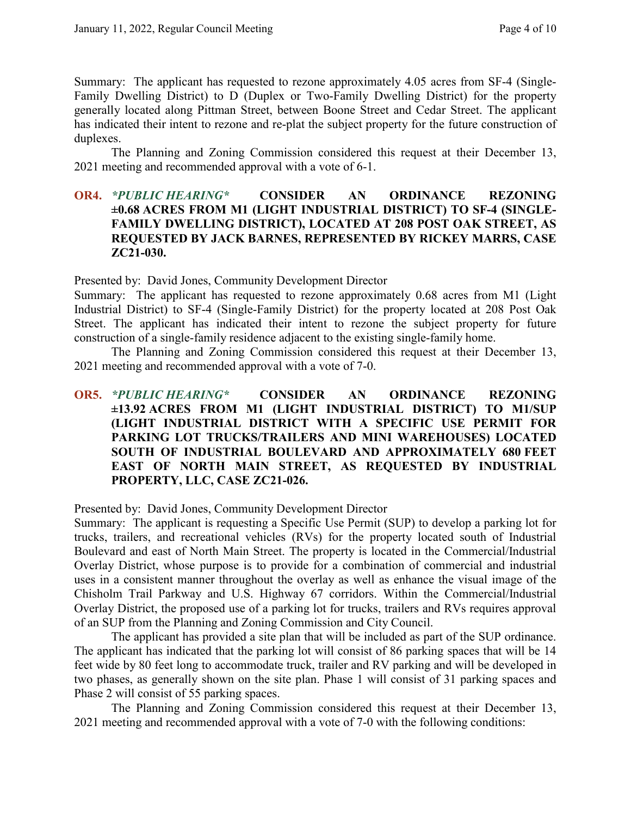Summary: The applicant has requested to rezone approximately 4.05 acres from SF-4 (Single-Family Dwelling District) to D (Duplex or Two-Family Dwelling District) for the property generally located along Pittman Street, between Boone Street and Cedar Street. The applicant has indicated their intent to rezone and re-plat the subject property for the future construction of duplexes.

The Planning and Zoning Commission considered this request at their December 13, 2021 meeting and recommended approval with a vote of 6-1.

#### **OR4.** *\*PUBLIC HEARING\** **CONSIDER AN ORDINANCE REZONING ±0.68 ACRES FROM M1 (LIGHT INDUSTRIAL DISTRICT) TO SF-4 (SINGLE-FAMILY DWELLING DISTRICT), LOCATED AT 208 POST OAK STREET, AS REQUESTED BY JACK BARNES, REPRESENTED BY RICKEY MARRS, CASE ZC21-030.**

Presented by: David Jones, Community Development Director

Summary: The applicant has requested to rezone approximately 0.68 acres from M1 (Light Industrial District) to SF-4 (Single-Family District) for the property located at 208 Post Oak Street. The applicant has indicated their intent to rezone the subject property for future construction of a single-family residence adjacent to the existing single-family home.

The Planning and Zoning Commission considered this request at their December 13, 2021 meeting and recommended approval with a vote of 7-0.

**OR5.** *\*PUBLIC HEARING\** **CONSIDER AN ORDINANCE REZONING ±13.92 ACRES FROM M1 (LIGHT INDUSTRIAL DISTRICT) TO M1/SUP (LIGHT INDUSTRIAL DISTRICT WITH A SPECIFIC USE PERMIT FOR PARKING LOT TRUCKS/TRAILERS AND MINI WAREHOUSES) LOCATED SOUTH OF INDUSTRIAL BOULEVARD AND APPROXIMATELY 680 FEET EAST OF NORTH MAIN STREET, AS REQUESTED BY INDUSTRIAL PROPERTY, LLC, CASE ZC21-026.**

Presented by: David Jones, Community Development Director

Summary: The applicant is requesting a Specific Use Permit (SUP) to develop a parking lot for trucks, trailers, and recreational vehicles (RVs) for the property located south of Industrial Boulevard and east of North Main Street. The property is located in the Commercial/Industrial Overlay District, whose purpose is to provide for a combination of commercial and industrial uses in a consistent manner throughout the overlay as well as enhance the visual image of the Chisholm Trail Parkway and U.S. Highway 67 corridors. Within the Commercial/Industrial Overlay District, the proposed use of a parking lot for trucks, trailers and RVs requires approval of an SUP from the Planning and Zoning Commission and City Council.

The applicant has provided a site plan that will be included as part of the SUP ordinance. The applicant has indicated that the parking lot will consist of 86 parking spaces that will be 14 feet wide by 80 feet long to accommodate truck, trailer and RV parking and will be developed in two phases, as generally shown on the site plan. Phase 1 will consist of 31 parking spaces and Phase 2 will consist of 55 parking spaces.

The Planning and Zoning Commission considered this request at their December 13, 2021 meeting and recommended approval with a vote of 7-0 with the following conditions: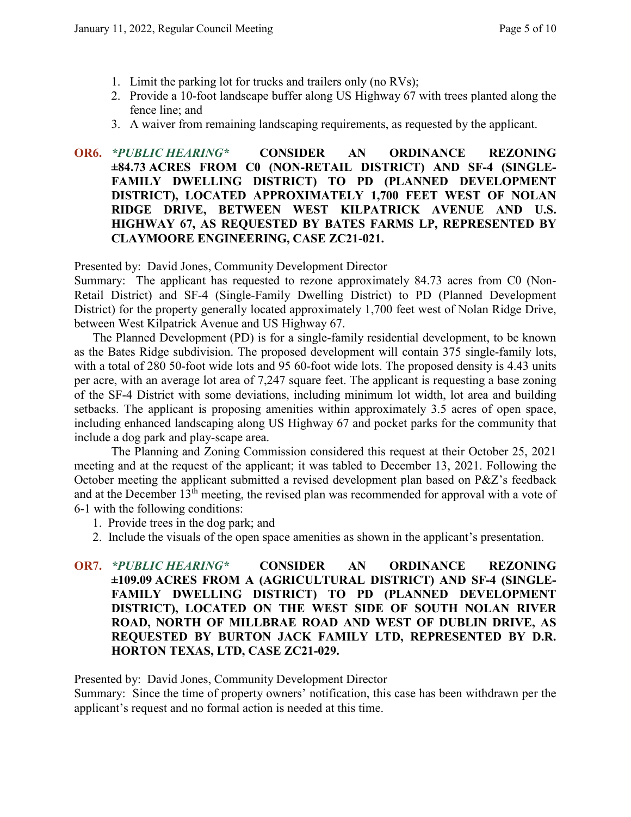- 1. Limit the parking lot for trucks and trailers only (no RVs);
- 2. Provide a 10-foot landscape buffer along US Highway 67 with trees planted along the fence line; and
- 3. A waiver from remaining landscaping requirements, as requested by the applicant.

## **OR6.** *\*PUBLIC HEARING\** **CONSIDER AN ORDINANCE REZONING ±84.73 ACRES FROM C0 (NON-RETAIL DISTRICT) AND SF-4 (SINGLE-FAMILY DWELLING DISTRICT) TO PD (PLANNED DEVELOPMENT DISTRICT), LOCATED APPROXIMATELY 1,700 FEET WEST OF NOLAN RIDGE DRIVE, BETWEEN WEST KILPATRICK AVENUE AND U.S. HIGHWAY 67, AS REQUESTED BY BATES FARMS LP, REPRESENTED BY CLAYMOORE ENGINEERING, CASE ZC21-021.**

#### Presented by: David Jones, Community Development Director

Summary: The applicant has requested to rezone approximately 84.73 acres from C0 (Non-Retail District) and SF-4 (Single-Family Dwelling District) to PD (Planned Development District) for the property generally located approximately 1,700 feet west of Nolan Ridge Drive, between West Kilpatrick Avenue and US Highway 67.

The Planned Development (PD) is for a single-family residential development, to be known as the Bates Ridge subdivision. The proposed development will contain 375 single-family lots, with a total of 280 50-foot wide lots and 95 60-foot wide lots. The proposed density is 4.43 units per acre, with an average lot area of 7,247 square feet. The applicant is requesting a base zoning of the SF-4 District with some deviations, including minimum lot width, lot area and building setbacks. The applicant is proposing amenities within approximately 3.5 acres of open space, including enhanced landscaping along US Highway 67 and pocket parks for the community that include a dog park and play-scape area.

The Planning and Zoning Commission considered this request at their October 25, 2021 meeting and at the request of the applicant; it was tabled to December 13, 2021. Following the October meeting the applicant submitted a revised development plan based on P&Z's feedback and at the December 13<sup>th</sup> meeting, the revised plan was recommended for approval with a vote of 6-1 with the following conditions:

- 1. Provide trees in the dog park; and
- 2. Include the visuals of the open space amenities as shown in the applicant's presentation.
- **OR7.** *\*PUBLIC HEARING\** **CONSIDER AN ORDINANCE REZONING ±109.09 ACRES FROM A (AGRICULTURAL DISTRICT) AND SF-4 (SINGLE-FAMILY DWELLING DISTRICT) TO PD (PLANNED DEVELOPMENT DISTRICT), LOCATED ON THE WEST SIDE OF SOUTH NOLAN RIVER ROAD, NORTH OF MILLBRAE ROAD AND WEST OF DUBLIN DRIVE, AS REQUESTED BY BURTON JACK FAMILY LTD, REPRESENTED BY D.R. HORTON TEXAS, LTD, CASE ZC21-029.**

Presented by: David Jones, Community Development Director

Summary: Since the time of property owners' notification, this case has been withdrawn per the applicant's request and no formal action is needed at this time.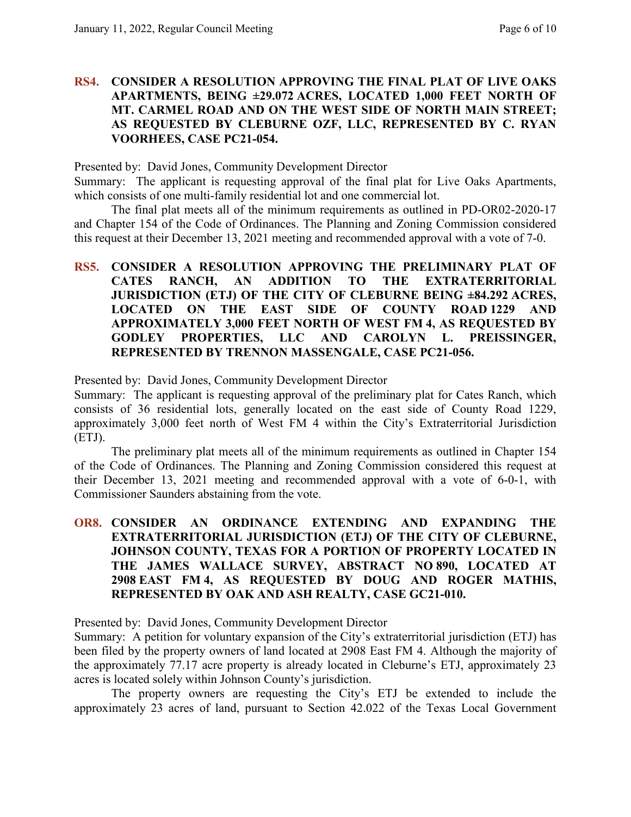#### **RS4. CONSIDER A RESOLUTION APPROVING THE FINAL PLAT OF LIVE OAKS APARTMENTS, BEING ±29.072 ACRES, LOCATED 1,000 FEET NORTH OF MT. CARMEL ROAD AND ON THE WEST SIDE OF NORTH MAIN STREET; AS REQUESTED BY CLEBURNE OZF, LLC, REPRESENTED BY C. RYAN VOORHEES, CASE PC21-054.**

Presented by: David Jones, Community Development Director

Summary: The applicant is requesting approval of the final plat for Live Oaks Apartments, which consists of one multi-family residential lot and one commercial lot.

The final plat meets all of the minimum requirements as outlined in PD-OR02-2020-17 and Chapter 154 of the Code of Ordinances. The Planning and Zoning Commission considered this request at their December 13, 2021 meeting and recommended approval with a vote of 7-0.

## **RS5. CONSIDER A RESOLUTION APPROVING THE PRELIMINARY PLAT OF CATES RANCH, AN ADDITION TO THE EXTRATERRITORIAL JURISDICTION (ETJ) OF THE CITY OF CLEBURNE BEING ±84.292 ACRES, LOCATED ON THE EAST SIDE OF COUNTY ROAD 1229 AND APPROXIMATELY 3,000 FEET NORTH OF WEST FM 4, AS REQUESTED BY GODLEY PROPERTIES, LLC AND CAROLYN L. PREISSINGER, REPRESENTED BY TRENNON MASSENGALE, CASE PC21-056.**

Presented by: David Jones, Community Development Director

Summary: The applicant is requesting approval of the preliminary plat for Cates Ranch, which consists of 36 residential lots, generally located on the east side of County Road 1229, approximately 3,000 feet north of West FM 4 within the City's Extraterritorial Jurisdiction (ETJ).

The preliminary plat meets all of the minimum requirements as outlined in Chapter 154 of the Code of Ordinances. The Planning and Zoning Commission considered this request at their December 13, 2021 meeting and recommended approval with a vote of 6-0-1, with Commissioner Saunders abstaining from the vote.

## **OR8. CONSIDER AN ORDINANCE EXTENDING AND EXPANDING THE EXTRATERRITORIAL JURISDICTION (ETJ) OF THE CITY OF CLEBURNE, JOHNSON COUNTY, TEXAS FOR A PORTION OF PROPERTY LOCATED IN THE JAMES WALLACE SURVEY, ABSTRACT NO 890, LOCATED AT 2908 EAST FM 4, AS REQUESTED BY DOUG AND ROGER MATHIS, REPRESENTED BY OAK AND ASH REALTY, CASE GC21-010.**

Presented by: David Jones, Community Development Director

Summary: A petition for voluntary expansion of the City's extraterritorial jurisdiction (ETJ) has been filed by the property owners of land located at 2908 East FM 4. Although the majority of the approximately 77.17 acre property is already located in Cleburne's ETJ, approximately 23 acres is located solely within Johnson County's jurisdiction.

The property owners are requesting the City's ETJ be extended to include the approximately 23 acres of land, pursuant to Section 42.022 of the Texas Local Government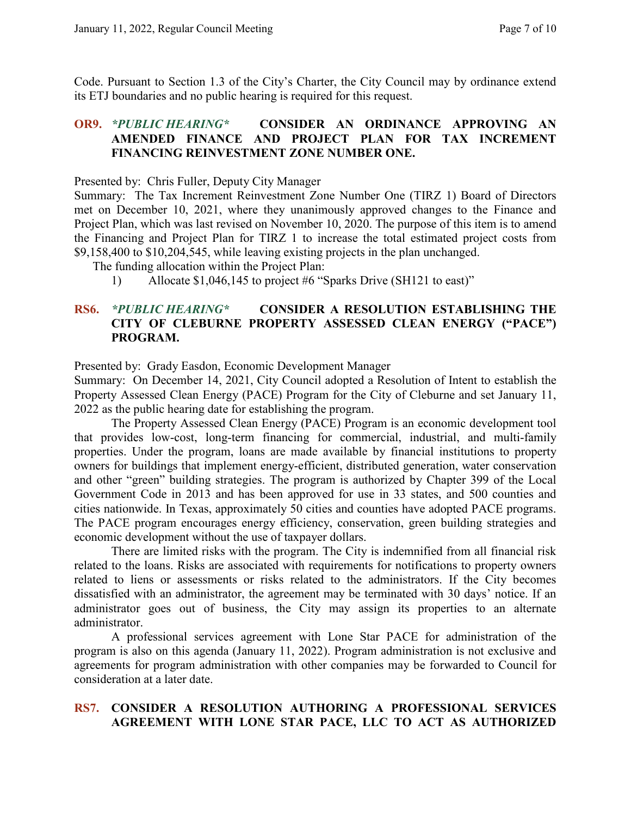Code. Pursuant to Section 1.3 of the City's Charter, the City Council may by ordinance extend its ETJ boundaries and no public hearing is required for this request.

#### **OR9.** *\*PUBLIC HEARING\** **CONSIDER AN ORDINANCE APPROVING AN AMENDED FINANCE AND PROJECT PLAN FOR TAX INCREMENT FINANCING REINVESTMENT ZONE NUMBER ONE.**

Presented by: Chris Fuller, Deputy City Manager

Summary: The Tax Increment Reinvestment Zone Number One (TIRZ 1) Board of Directors met on December 10, 2021, where they unanimously approved changes to the Finance and Project Plan, which was last revised on November 10, 2020. The purpose of this item is to amend the Financing and Project Plan for TIRZ 1 to increase the total estimated project costs from \$9,158,400 to \$10,204,545, while leaving existing projects in the plan unchanged.

- The funding allocation within the Project Plan:
	- 1) Allocate \$1,046,145 to project #6 "Sparks Drive (SH121 to east)"

#### **RS6.** *\*PUBLIC HEARING\** **CONSIDER A RESOLUTION ESTABLISHING THE CITY OF CLEBURNE PROPERTY ASSESSED CLEAN ENERGY ("PACE") PROGRAM.**

Presented by: Grady Easdon, Economic Development Manager

Summary: On December 14, 2021, City Council adopted a Resolution of Intent to establish the Property Assessed Clean Energy (PACE) Program for the City of Cleburne and set January 11, 2022 as the public hearing date for establishing the program.

The Property Assessed Clean Energy (PACE) Program is an economic development tool that provides low-cost, long-term financing for commercial, industrial, and multi-family properties. Under the program, loans are made available by financial institutions to property owners for buildings that implement energy-efficient, distributed generation, water conservation and other "green" building strategies. The program is authorized by Chapter 399 of the Local Government Code in 2013 and has been approved for use in 33 states, and 500 counties and cities nationwide. In Texas, approximately 50 cities and counties have adopted PACE programs. The PACE program encourages energy efficiency, conservation, green building strategies and economic development without the use of taxpayer dollars.

There are limited risks with the program. The City is indemnified from all financial risk related to the loans. Risks are associated with requirements for notifications to property owners related to liens or assessments or risks related to the administrators. If the City becomes dissatisfied with an administrator, the agreement may be terminated with 30 days' notice. If an administrator goes out of business, the City may assign its properties to an alternate administrator.

A professional services agreement with Lone Star PACE for administration of the program is also on this agenda (January 11, 2022). Program administration is not exclusive and agreements for program administration with other companies may be forwarded to Council for consideration at a later date.

## **RS7. CONSIDER A RESOLUTION AUTHORING A PROFESSIONAL SERVICES AGREEMENT WITH LONE STAR PACE, LLC TO ACT AS AUTHORIZED**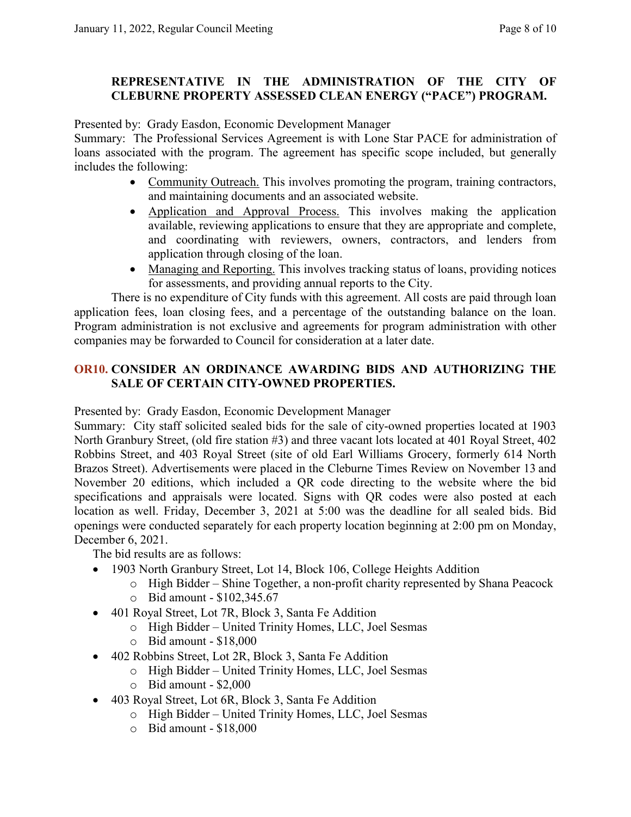## **REPRESENTATIVE IN THE ADMINISTRATION OF THE CITY OF CLEBURNE PROPERTY ASSESSED CLEAN ENERGY ("PACE") PROGRAM.**

Presented by: Grady Easdon, Economic Development Manager

Summary: The Professional Services Agreement is with Lone Star PACE for administration of loans associated with the program. The agreement has specific scope included, but generally includes the following:

- Community Outreach. This involves promoting the program, training contractors, and maintaining documents and an associated website.
- Application and Approval Process. This involves making the application available, reviewing applications to ensure that they are appropriate and complete, and coordinating with reviewers, owners, contractors, and lenders from application through closing of the loan.
- Managing and Reporting. This involves tracking status of loans, providing notices for assessments, and providing annual reports to the City.

There is no expenditure of City funds with this agreement. All costs are paid through loan application fees, loan closing fees, and a percentage of the outstanding balance on the loan. Program administration is not exclusive and agreements for program administration with other companies may be forwarded to Council for consideration at a later date.

# **OR10. CONSIDER AN ORDINANCE AWARDING BIDS AND AUTHORIZING THE SALE OF CERTAIN CITY-OWNED PROPERTIES.**

Presented by: Grady Easdon, Economic Development Manager

Summary: City staff solicited sealed bids for the sale of city-owned properties located at 1903 North Granbury Street, (old fire station #3) and three vacant lots located at 401 Royal Street, 402 Robbins Street, and 403 Royal Street (site of old Earl Williams Grocery, formerly 614 North Brazos Street). Advertisements were placed in the Cleburne Times Review on November 13 and November 20 editions, which included a QR code directing to the website where the bid specifications and appraisals were located. Signs with QR codes were also posted at each location as well. Friday, December 3, 2021 at 5:00 was the deadline for all sealed bids. Bid openings were conducted separately for each property location beginning at 2:00 pm on Monday, December 6, 2021.

The bid results are as follows:

- 1903 North Granbury Street, Lot 14, Block 106, College Heights Addition
	- o High Bidder Shine Together, a non-profit charity represented by Shana Peacock
	- o Bid amount \$102,345.67
- 401 Royal Street, Lot 7R, Block 3, Santa Fe Addition
	- o High Bidder United Trinity Homes, LLC, Joel Sesmas
	- o Bid amount \$18,000
- 402 Robbins Street, Lot 2R, Block 3, Santa Fe Addition
	- o High Bidder United Trinity Homes, LLC, Joel Sesmas
	- $\circ$  Bid amount \$2,000
- 403 Royal Street, Lot 6R, Block 3, Santa Fe Addition
	- o High Bidder United Trinity Homes, LLC, Joel Sesmas
	- $\circ$  Bid amount \$18,000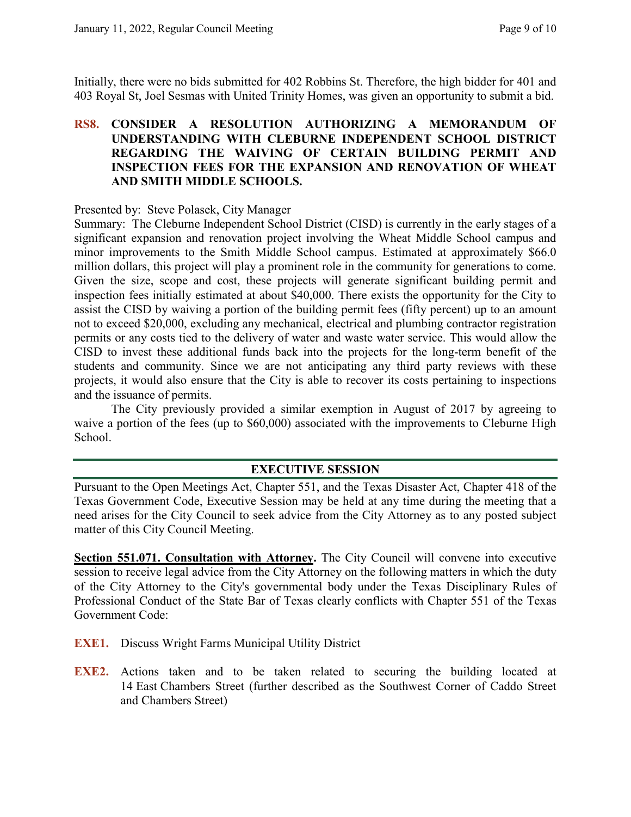Initially, there were no bids submitted for 402 Robbins St. Therefore, the high bidder for 401 and 403 Royal St, Joel Sesmas with United Trinity Homes, was given an opportunity to submit a bid.

## **RS8. CONSIDER A RESOLUTION AUTHORIZING A MEMORANDUM OF UNDERSTANDING WITH CLEBURNE INDEPENDENT SCHOOL DISTRICT REGARDING THE WAIVING OF CERTAIN BUILDING PERMIT AND INSPECTION FEES FOR THE EXPANSION AND RENOVATION OF WHEAT AND SMITH MIDDLE SCHOOLS.**

Presented by: Steve Polasek, City Manager

Summary: The Cleburne Independent School District (CISD) is currently in the early stages of a significant expansion and renovation project involving the Wheat Middle School campus and minor improvements to the Smith Middle School campus. Estimated at approximately \$66.0 million dollars, this project will play a prominent role in the community for generations to come. Given the size, scope and cost, these projects will generate significant building permit and inspection fees initially estimated at about \$40,000. There exists the opportunity for the City to assist the CISD by waiving a portion of the building permit fees (fifty percent) up to an amount not to exceed \$20,000, excluding any mechanical, electrical and plumbing contractor registration permits or any costs tied to the delivery of water and waste water service. This would allow the CISD to invest these additional funds back into the projects for the long-term benefit of the students and community. Since we are not anticipating any third party reviews with these projects, it would also ensure that the City is able to recover its costs pertaining to inspections and the issuance of permits.

The City previously provided a similar exemption in August of 2017 by agreeing to waive a portion of the fees (up to \$60,000) associated with the improvements to Cleburne High School.

#### **EXECUTIVE SESSION**

Pursuant to the Open Meetings Act, Chapter 551, and the Texas Disaster Act, Chapter 418 of the Texas Government Code, Executive Session may be held at any time during the meeting that a need arises for the City Council to seek advice from the City Attorney as to any posted subject matter of this City Council Meeting.

**Section 551.071. Consultation with Attorney.** The City Council will convene into executive session to receive legal advice from the City Attorney on the following matters in which the duty of the City Attorney to the City's governmental body under the Texas Disciplinary Rules of Professional Conduct of the State Bar of Texas clearly conflicts with Chapter 551 of the Texas Government Code:

- **EXE1.** Discuss Wright Farms Municipal Utility District
- **EXE2.** Actions taken and to be taken related to securing the building located at 14 East Chambers Street (further described as the Southwest Corner of Caddo Street and Chambers Street)